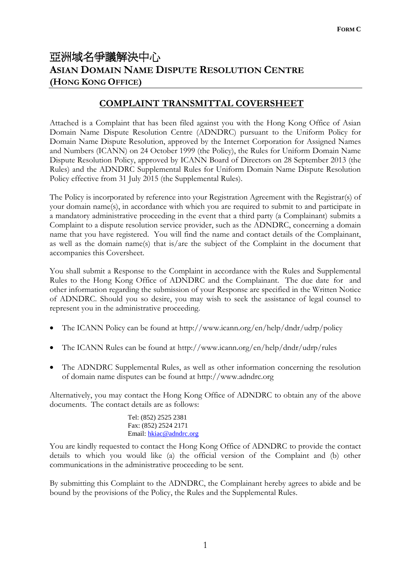# 亞洲域名爭議解決中心 **ASIAN DOMAIN NAME DISPUTE RESOLUTION CENTRE (HONG KONG OFFICE)**

## **COMPLAINT TRANSMITTAL COVERSHEET**

Attached is a Complaint that has been filed against you with the Hong Kong Office of Asian Domain Name Dispute Resolution Centre (ADNDRC) pursuant to the Uniform Policy for Domain Name Dispute Resolution, approved by the Internet Corporation for Assigned Names and Numbers (ICANN) on 24 October 1999 (the Policy), the Rules for Uniform Domain Name Dispute Resolution Policy, approved by ICANN Board of Directors on 28 September 2013 (the Rules) and the ADNDRC Supplemental Rules for Uniform Domain Name Dispute Resolution Policy effective from 31 July 2015 (the Supplemental Rules).

The Policy is incorporated by reference into your Registration Agreement with the Registrar(s) of your domain name(s), in accordance with which you are required to submit to and participate in a mandatory administrative proceeding in the event that a third party (a Complainant) submits a Complaint to a dispute resolution service provider, such as the ADNDRC, concerning a domain name that you have registered. You will find the name and contact details of the Complainant, as well as the domain name(s) that is/are the subject of the Complaint in the document that accompanies this Coversheet.

You shall submit a Response to the Complaint in accordance with the Rules and Supplemental Rules to the Hong Kong Office of ADNDRC and the Complainant. The due date for and other information regarding the submission of your Response are specified in the Written Notice of ADNDRC. Should you so desire, you may wish to seek the assistance of legal counsel to represent you in the administrative proceeding.

- The ICANN Policy can be found at http://www.icann.org/en/help/dndr/udrp/policy
- The ICANN Rules can be found at http://www.icann.org/en/help/dndr/udrp/rules
- The ADNDRC Supplemental Rules, as well as other information concerning the resolution of domain name disputes can be found at http://www.adndrc.org

Alternatively, you may contact the Hong Kong Office of ADNDRC to obtain any of the above documents. The contact details are as follows:

> Tel: (852) 2525 2381 Fax: (852) 2524 2171 Email: [hkiac@adndrc.org](mailto:hkiac@adndrc.org)

You are kindly requested to contact the Hong Kong Office of ADNDRC to provide the contact details to which you would like (a) the official version of the Complaint and (b) other communications in the administrative proceeding to be sent.

By submitting this Complaint to the ADNDRC, the Complainant hereby agrees to abide and be bound by the provisions of the Policy, the Rules and the Supplemental Rules.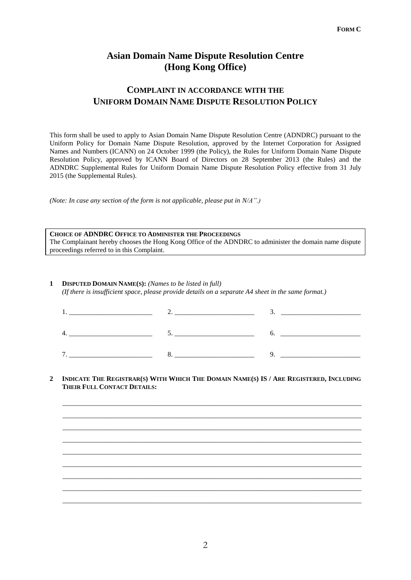### **Asian Domain Name Dispute Resolution Centre (Hong Kong Office)**

### **COMPLAINT IN ACCORDANCE WITH THE UNIFORM DOMAIN NAME DISPUTE RESOLUTION POLICY**

This form shall be used to apply to Asian Domain Name Dispute Resolution Centre (ADNDRC) pursuant to the Uniform Policy for Domain Name Dispute Resolution, approved by the Internet Corporation for Assigned Names and Numbers (ICANN) on 24 October 1999 (the Policy), the Rules for Uniform Domain Name Dispute Resolution Policy, approved by ICANN Board of Directors on 28 September 2013 (the Rules) and the ADNDRC Supplemental Rules for Uniform Domain Name Dispute Resolution Policy effective from 31 July 2015 (the Supplemental Rules).

*(Note: In case any section of the form is not applicable, please put in N/A".)*

**CHOICE OF ADNDRC OFFICE TO ADMINISTER THE PROCEEDINGS**  The Complainant hereby chooses the Hong Kong Office of the ADNDRC to administer the domain name dispute proceedings referred to in this Complaint.

#### **1 DISPUTED DOMAIN NAME(S):** *(Names to be listed in full) (If there is insufficient space, please provide details on a separate A4 sheet in the same format.)*

|   | ◡ |  |
|---|---|--|
| − |   |  |

#### 2 INDICATE THE REGISTRAR(S) WITH WHICH THE DOMAIN NAME(S) IS / ARE REGISTERED, INCLUDING **THEIR FULL CONTACT DETAILS:**

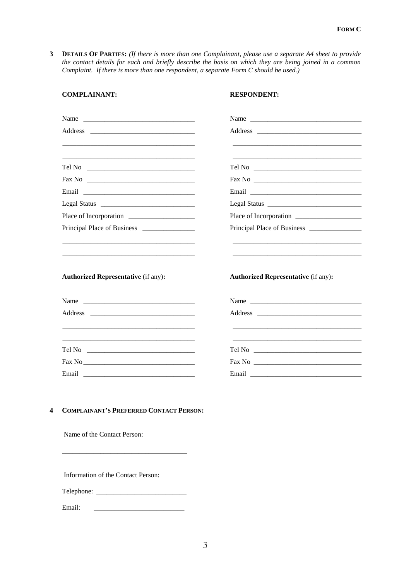**3 DETAILS OF PARTIES:** *(If there is more than one Complainant, please use a separate A4 sheet to provide the contact details for each and briefly describe the basis on which they are being joined in a common Complaint. If there is more than one respondent, a separate Form C should be used.)*

| <b>COMPLAINANT:</b>                            | <b>RESPONDENT:</b>                         |
|------------------------------------------------|--------------------------------------------|
| Name                                           |                                            |
|                                                |                                            |
|                                                |                                            |
|                                                |                                            |
|                                                |                                            |
|                                                |                                            |
|                                                |                                            |
|                                                |                                            |
|                                                |                                            |
|                                                |                                            |
| <b>Authorized Representative (if any):</b>     | <b>Authorized Representative (if any):</b> |
|                                                |                                            |
|                                                |                                            |
|                                                |                                            |
|                                                |                                            |
|                                                |                                            |
|                                                |                                            |
|                                                |                                            |
| <b>COMPLAINANT'S PREFERRED CONTACT PERSON:</b> |                                            |
| Name of the Contact Person:                    |                                            |
| Information of the Contact Person:             |                                            |
|                                                |                                            |
|                                                |                                            |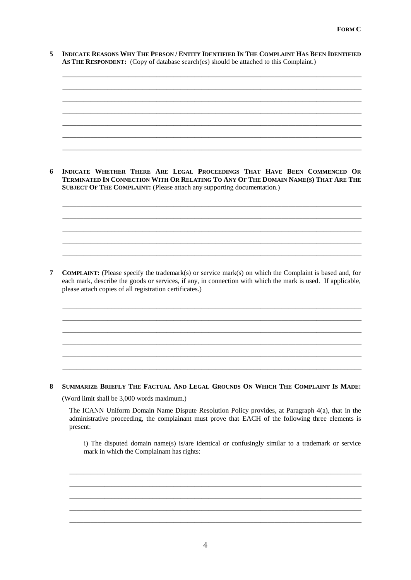5 INDICATE REASONS WHY THE PERSON / ENTITY IDENTIFIED IN THE COMPLAINT HAS BEEN IDENTIFIED **AS THE RESPONDENT:** (Copy of database search(es) should be attached to this Complaint.)

\_\_\_\_\_\_\_\_\_\_\_\_\_\_\_\_\_\_\_\_\_\_\_\_\_\_\_\_\_\_\_\_\_\_\_\_\_\_\_\_\_\_\_\_\_\_\_\_\_\_\_\_\_\_\_\_\_\_\_\_\_\_\_\_\_\_\_\_\_\_\_\_\_\_\_\_\_\_\_\_\_\_\_\_\_\_ \_\_\_\_\_\_\_\_\_\_\_\_\_\_\_\_\_\_\_\_\_\_\_\_\_\_\_\_\_\_\_\_\_\_\_\_\_\_\_\_\_\_\_\_\_\_\_\_\_\_\_\_\_\_\_\_\_\_\_\_\_\_\_\_\_\_\_\_\_\_\_\_\_\_\_\_\_\_\_\_\_\_\_\_\_\_ \_\_\_\_\_\_\_\_\_\_\_\_\_\_\_\_\_\_\_\_\_\_\_\_\_\_\_\_\_\_\_\_\_\_\_\_\_\_\_\_\_\_\_\_\_\_\_\_\_\_\_\_\_\_\_\_\_\_\_\_\_\_\_\_\_\_\_\_\_\_\_\_\_\_\_\_\_\_\_\_\_\_\_\_\_\_ \_\_\_\_\_\_\_\_\_\_\_\_\_\_\_\_\_\_\_\_\_\_\_\_\_\_\_\_\_\_\_\_\_\_\_\_\_\_\_\_\_\_\_\_\_\_\_\_\_\_\_\_\_\_\_\_\_\_\_\_\_\_\_\_\_\_\_\_\_\_\_\_\_\_\_\_\_\_\_\_\_\_\_\_\_\_ \_\_\_\_\_\_\_\_\_\_\_\_\_\_\_\_\_\_\_\_\_\_\_\_\_\_\_\_\_\_\_\_\_\_\_\_\_\_\_\_\_\_\_\_\_\_\_\_\_\_\_\_\_\_\_\_\_\_\_\_\_\_\_\_\_\_\_\_\_\_\_\_\_\_\_\_\_\_\_\_\_\_\_\_\_\_ \_\_\_\_\_\_\_\_\_\_\_\_\_\_\_\_\_\_\_\_\_\_\_\_\_\_\_\_\_\_\_\_\_\_\_\_\_\_\_\_\_\_\_\_\_\_\_\_\_\_\_\_\_\_\_\_\_\_\_\_\_\_\_\_\_\_\_\_\_\_\_\_\_\_\_\_\_\_\_\_\_\_\_\_\_\_

\_\_\_\_\_\_\_\_\_\_\_\_\_\_\_\_\_\_\_\_\_\_\_\_\_\_\_\_\_\_\_\_\_\_\_\_\_\_\_\_\_\_\_\_\_\_\_\_\_\_\_\_\_\_\_\_\_\_\_\_\_\_\_\_\_\_\_\_\_\_\_\_\_\_\_\_\_\_\_\_\_\_\_\_\_\_

6 INDICATE WHETHER THERE ARE LEGAL PROCEEDINGS THAT HAVE BEEN COMMENCED OR TERMINATED IN CONNECTION WITH OR RELATING TO ANY OF THE DOMAIN NAME(S) THAT ARE THE **SUBJECT OF THE COMPLAINT:** (Please attach any supporting documentation.)

\_\_\_\_\_\_\_\_\_\_\_\_\_\_\_\_\_\_\_\_\_\_\_\_\_\_\_\_\_\_\_\_\_\_\_\_\_\_\_\_\_\_\_\_\_\_\_\_\_\_\_\_\_\_\_\_\_\_\_\_\_\_\_\_\_\_\_\_\_\_\_\_\_\_\_\_\_\_\_\_\_\_\_\_\_\_ \_\_\_\_\_\_\_\_\_\_\_\_\_\_\_\_\_\_\_\_\_\_\_\_\_\_\_\_\_\_\_\_\_\_\_\_\_\_\_\_\_\_\_\_\_\_\_\_\_\_\_\_\_\_\_\_\_\_\_\_\_\_\_\_\_\_\_\_\_\_\_\_\_\_\_\_\_\_\_\_\_\_\_\_\_\_ \_\_\_\_\_\_\_\_\_\_\_\_\_\_\_\_\_\_\_\_\_\_\_\_\_\_\_\_\_\_\_\_\_\_\_\_\_\_\_\_\_\_\_\_\_\_\_\_\_\_\_\_\_\_\_\_\_\_\_\_\_\_\_\_\_\_\_\_\_\_\_\_\_\_\_\_\_\_\_\_\_\_\_\_\_\_ \_\_\_\_\_\_\_\_\_\_\_\_\_\_\_\_\_\_\_\_\_\_\_\_\_\_\_\_\_\_\_\_\_\_\_\_\_\_\_\_\_\_\_\_\_\_\_\_\_\_\_\_\_\_\_\_\_\_\_\_\_\_\_\_\_\_\_\_\_\_\_\_\_\_\_\_\_\_\_\_\_\_\_\_\_\_ \_\_\_\_\_\_\_\_\_\_\_\_\_\_\_\_\_\_\_\_\_\_\_\_\_\_\_\_\_\_\_\_\_\_\_\_\_\_\_\_\_\_\_\_\_\_\_\_\_\_\_\_\_\_\_\_\_\_\_\_\_\_\_\_\_\_\_\_\_\_\_\_\_\_\_\_\_\_\_\_\_\_\_\_\_\_

**7 COMPLAINT:** (Please specify the trademark(s) or service mark(s) on which the Complaint is based and, for each mark, describe the goods or services, if any, in connection with which the mark is used. If applicable, please attach copies of all registration certificates.)

\_\_\_\_\_\_\_\_\_\_\_\_\_\_\_\_\_\_\_\_\_\_\_\_\_\_\_\_\_\_\_\_\_\_\_\_\_\_\_\_\_\_\_\_\_\_\_\_\_\_\_\_\_\_\_\_\_\_\_\_\_\_\_\_\_\_\_\_\_\_\_\_\_\_\_\_\_\_\_\_\_\_\_\_\_\_ \_\_\_\_\_\_\_\_\_\_\_\_\_\_\_\_\_\_\_\_\_\_\_\_\_\_\_\_\_\_\_\_\_\_\_\_\_\_\_\_\_\_\_\_\_\_\_\_\_\_\_\_\_\_\_\_\_\_\_\_\_\_\_\_\_\_\_\_\_\_\_\_\_\_\_\_\_\_\_\_\_\_\_\_\_\_ \_\_\_\_\_\_\_\_\_\_\_\_\_\_\_\_\_\_\_\_\_\_\_\_\_\_\_\_\_\_\_\_\_\_\_\_\_\_\_\_\_\_\_\_\_\_\_\_\_\_\_\_\_\_\_\_\_\_\_\_\_\_\_\_\_\_\_\_\_\_\_\_\_\_\_\_\_\_\_\_\_\_\_\_\_\_ \_\_\_\_\_\_\_\_\_\_\_\_\_\_\_\_\_\_\_\_\_\_\_\_\_\_\_\_\_\_\_\_\_\_\_\_\_\_\_\_\_\_\_\_\_\_\_\_\_\_\_\_\_\_\_\_\_\_\_\_\_\_\_\_\_\_\_\_\_\_\_\_\_\_\_\_\_\_\_\_\_\_\_\_\_\_ \_\_\_\_\_\_\_\_\_\_\_\_\_\_\_\_\_\_\_\_\_\_\_\_\_\_\_\_\_\_\_\_\_\_\_\_\_\_\_\_\_\_\_\_\_\_\_\_\_\_\_\_\_\_\_\_\_\_\_\_\_\_\_\_\_\_\_\_\_\_\_\_\_\_\_\_\_\_\_\_\_\_\_\_\_\_ \_\_\_\_\_\_\_\_\_\_\_\_\_\_\_\_\_\_\_\_\_\_\_\_\_\_\_\_\_\_\_\_\_\_\_\_\_\_\_\_\_\_\_\_\_\_\_\_\_\_\_\_\_\_\_\_\_\_\_\_\_\_\_\_\_\_\_\_\_\_\_\_\_\_\_\_\_\_\_\_\_\_\_\_\_\_

8 SUMMARIZE BRIEFLY THE FACTUAL AND LEGAL GROUNDS ON WHICH THE COMPLAINT IS MADE:

(Word limit shall be 3,000 words maximum.)

The ICANN Uniform Domain Name Dispute Resolution Policy provides, at Paragraph 4(a), that in the administrative proceeding, the complainant must prove that EACH of the following three elements is present:

\_\_\_\_\_\_\_\_\_\_\_\_\_\_\_\_\_\_\_\_\_\_\_\_\_\_\_\_\_\_\_\_\_\_\_\_\_\_\_\_\_\_\_\_\_\_\_\_\_\_\_\_\_\_\_\_\_\_\_\_\_\_\_\_\_\_\_\_\_\_\_\_\_\_\_\_\_\_\_\_\_\_\_\_ \_\_\_\_\_\_\_\_\_\_\_\_\_\_\_\_\_\_\_\_\_\_\_\_\_\_\_\_\_\_\_\_\_\_\_\_\_\_\_\_\_\_\_\_\_\_\_\_\_\_\_\_\_\_\_\_\_\_\_\_\_\_\_\_\_\_\_\_\_\_\_\_\_\_\_\_\_\_\_\_\_\_\_\_ \_\_\_\_\_\_\_\_\_\_\_\_\_\_\_\_\_\_\_\_\_\_\_\_\_\_\_\_\_\_\_\_\_\_\_\_\_\_\_\_\_\_\_\_\_\_\_\_\_\_\_\_\_\_\_\_\_\_\_\_\_\_\_\_\_\_\_\_\_\_\_\_\_\_\_\_\_\_\_\_\_\_\_\_ \_\_\_\_\_\_\_\_\_\_\_\_\_\_\_\_\_\_\_\_\_\_\_\_\_\_\_\_\_\_\_\_\_\_\_\_\_\_\_\_\_\_\_\_\_\_\_\_\_\_\_\_\_\_\_\_\_\_\_\_\_\_\_\_\_\_\_\_\_\_\_\_\_\_\_\_\_\_\_\_\_\_\_\_ \_\_\_\_\_\_\_\_\_\_\_\_\_\_\_\_\_\_\_\_\_\_\_\_\_\_\_\_\_\_\_\_\_\_\_\_\_\_\_\_\_\_\_\_\_\_\_\_\_\_\_\_\_\_\_\_\_\_\_\_\_\_\_\_\_\_\_\_\_\_\_\_\_\_\_\_\_\_\_\_\_\_\_\_

i) The disputed domain name(s) is/are identical or confusingly similar to a trademark or service mark in which the Complainant has rights: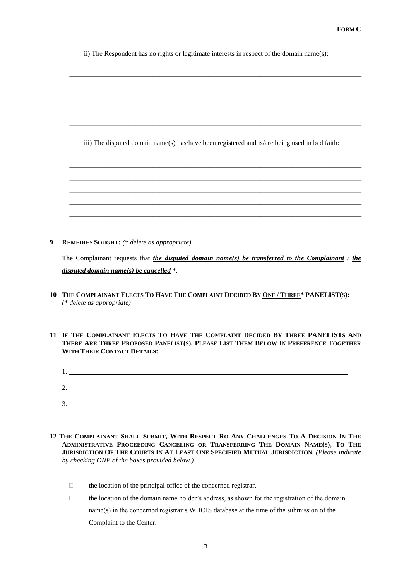ii) The Respondent has no rights or legitimate interests in respect of the domain name(s):

| iii) The disputed domain name(s) has/have been registered and is/are being used in bad faith: |  |  |  |
|-----------------------------------------------------------------------------------------------|--|--|--|
|                                                                                               |  |  |  |
|                                                                                               |  |  |  |
|                                                                                               |  |  |  |
|                                                                                               |  |  |  |
|                                                                                               |  |  |  |
|                                                                                               |  |  |  |

**9 REMEDIES SOUGHT:** *(\* delete as appropriate)*

The Complainant requests that *the disputed domain name(s) be transferred to the Complainant / the disputed domain name(s) be cancelled* \*.

- 10 THE COMPLAINANT ELECTS TO HAVE THE COMPLAINT DECIDED BY ONE / THREE\* PANELIST(S): *(\* delete as appropriate)*
- 11 IF THE COMPLAINANT ELECTS TO HAVE THE COMPLAINT DECIDED BY THREE PANELISTS AND THERE ARE THREE PROPOSED PANELIST(S), PLEASE LIST THEM BELOW IN PREFERENCE TOGETHER **WITH THEIR CONTACT DETAILS:**
	- 1. 2. 3.
- 12 THE COMPLAINANT SHALL SUBMIT, WITH RESPECT RO ANY CHALLENGES TO A DECISION IN THE ADMINISTRATIVE PROCEEDING CANCELING OR TRANSFERRING THE DOMAIN NAME(S), TO THE JURISDICTION OF THE COURTS IN AT LEAST ONE SPECIFIED MUTUAL JURISDICTION. (Please indicate *by checking ONE of the boxes provided below.)*
	- $\Box$  the location of the principal office of the concerned registrar.
	- $\Box$  the location of the domain name holder's address, as shown for the registration of the domain name(s) in the concerned registrar's WHOIS database at the time of the submission of the Complaint to the Center.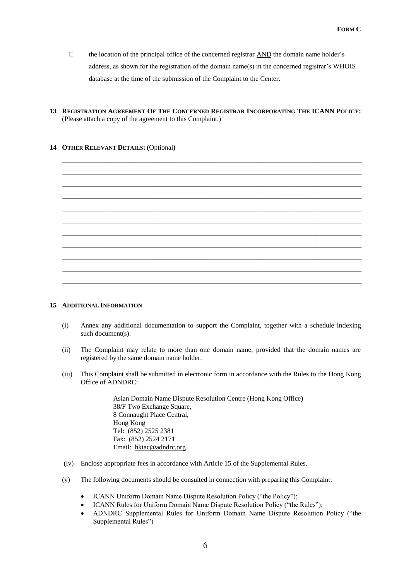- $\Box$  the location of the principal office of the concerned registrar AND the domain name holder's address, as shown for the registration of the domain name(s) in the concerned registrar's WHOIS database at the time of the submission of the Complaint to the Center.
- 13 REGISTRATION AGREEMENT OF THE CONCERNED REGISTRAR INCORPORATING THE ICANN POLICY: (Please attach a copy of the agreement to this Complaint.)

#### **14 OTHER RELEVANT DETAILS: (**Optional**)**



#### **15 ADDITIONAL INFORMATION**

- (i) Annex any additional documentation to support the Complaint, together with a schedule indexing such document(s).
- (ii) The Complaint may relate to more than one domain name, provided that the domain names are registered by the same domain name holder.
- (iii) This Complaint shall be submitted in electronic form in accordance with the Rules to the Hong Kong Office of ADNDRC:

Asian Domain Name Dispute Resolution Centre (Hong Kong Office) 38/F Two Exchange Square, 8 Connaught Place Central, Hong Kong Tel: (852) 2525 2381 Fax: (852) 2524 2171 Email: hkiac@adndrc.org

- (iv) Enclose appropriate fees in accordance with Article 15 of the Supplemental Rules.
- (v) The following documents should be consulted in connection with preparing this Complaint:
	- ICANN Uniform Domain Name Dispute Resolution Policy ("the Policy");
	- ICANN Rules for Uniform Domain Name Dispute Resolution Policy ("the Rules");
	- ADNDRC Supplemental Rules for Uniform Domain Name Dispute Resolution Policy ("the Supplemental Rules")